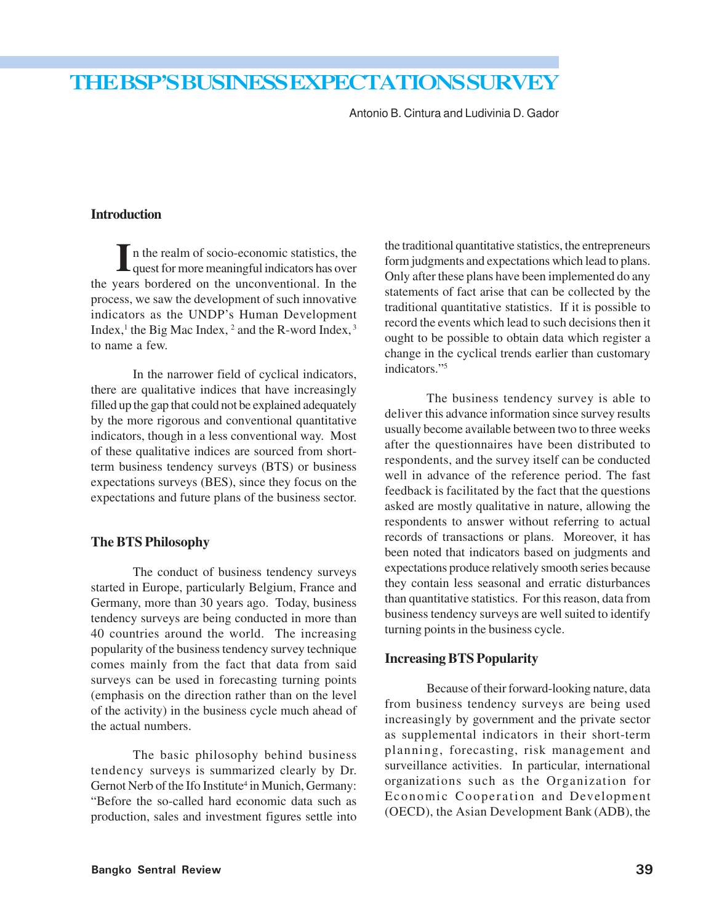# THE BSP'S BUSINESS EXPECTATIONS SURVEY

Antonio B. Cintura and Ludivinia D. Gador

## **Introduction**

n the realm of socio-economic statistics, the I in the realm of socio-economic statistics, the quest for more meaningful indicators has over the years bordered on the unconventional. In the process, we saw the development of such innovative indicators as the UNDP's Human Development Index, $<sup>1</sup>$  the Big Mac Index,  $<sup>2</sup>$  and the R-word Index,  $<sup>3</sup>$ </sup></sup></sup> to name a few.

In the narrower field of cyclical indicators, there are qualitative indices that have increasingly filled up the gap that could not be explained adequately by the more rigorous and conventional quantitative indicators, though in a less conventional way. Most of these qualitative indices are sourced from shortterm business tendency surveys (BTS) or business expectations surveys (BES), since they focus on the expectations and future plans of the business sector.

#### **The BTS Philosophy**

The conduct of business tendency surveys started in Europe, particularly Belgium, France and Germany, more than 30 years ago. Today, business tendency surveys are being conducted in more than 40 countries around the world. The increasing popularity of the business tendency survey technique comes mainly from the fact that data from said surveys can be used in forecasting turning points (emphasis on the direction rather than on the level of the activity) in the business cycle much ahead of the actual numbers.

The basic philosophy behind business tendency surveys is summarized clearly by Dr. Gernot Nerb of the Ifo Institute<sup>4</sup> in Munich, Germany: "Before the so-called hard economic data such as production, sales and investment figures settle into the traditional quantitative statistics, the entrepreneurs form judgments and expectations which lead to plans. Only after these plans have been implemented do any statements of fact arise that can be collected by the traditional quantitative statistics. If it is possible to record the events which lead to such decisions then it ought to be possible to obtain data which register a change in the cyclical trends earlier than customary indicators."<sup>5</sup>

The business tendency survey is able to deliver this advance information since survey results usually become available between two to three weeks after the questionnaires have been distributed to respondents, and the survey itself can be conducted well in advance of the reference period. The fast feedback is facilitated by the fact that the questions asked are mostly qualitative in nature, allowing the respondents to answer without referring to actual records of transactions or plans. Moreover, it has been noted that indicators based on judgments and expectations produce relatively smooth series because they contain less seasonal and erratic disturbances than quantitative statistics. For this reason, data from business tendency surveys are well suited to identify turning points in the business cycle.

#### **Increasing BTS Popularity**

Because of their forward-looking nature, data from business tendency surveys are being used increasingly by government and the private sector as supplemental indicators in their short-term planning, forecasting, risk management and surveillance activities. In particular, international organizations such as the Organization for Economic Cooperation and Development (OECD), the Asian Development Bank (ADB), the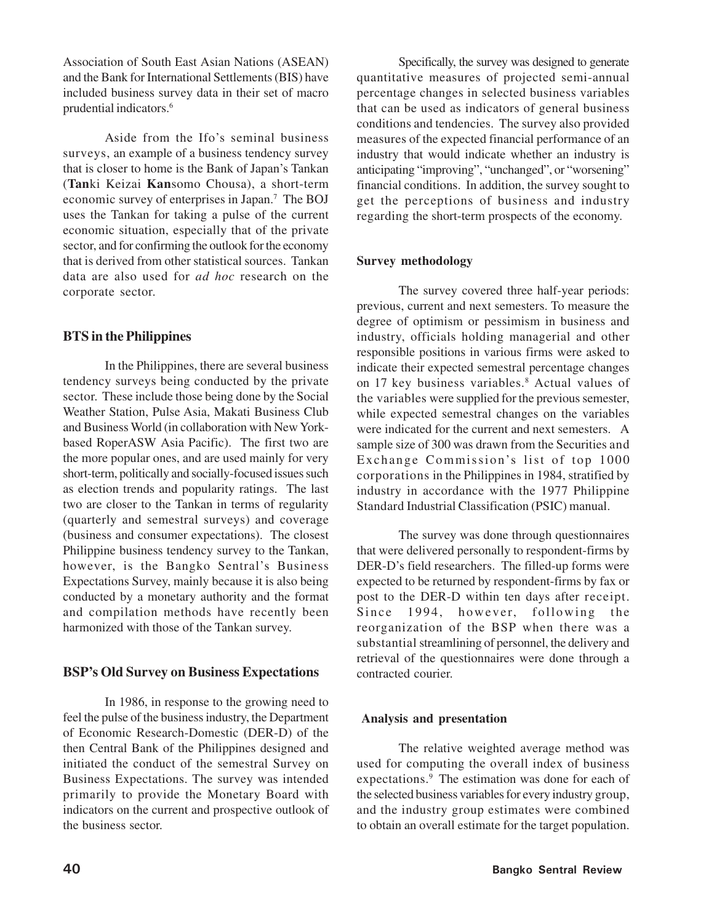Association of South East Asian Nations (ASEAN) and the Bank for International Settlements (BIS) have included business survey data in their set of macro prudential indicators.<sup>6</sup>

Aside from the Ifo's seminal business surveys, an example of a business tendency survey that is closer to home is the Bank of Japan's Tankan (**Tan**ki Keizai **Kan**somo Chousa), a short-term economic survey of enterprises in Japan.<sup>7</sup> The BOJ uses the Tankan for taking a pulse of the current economic situation, especially that of the private sector, and for confirming the outlook for the economy that is derived from other statistical sources. Tankan data are also used for *ad hoc* research on the corporate sector.

# **BTS in the Philippines**

In the Philippines, there are several business tendency surveys being conducted by the private sector. These include those being done by the Social Weather Station, Pulse Asia, Makati Business Club and Business World (in collaboration with New Yorkbased RoperASW Asia Pacific). The first two are the more popular ones, and are used mainly for very short-term, politically and socially-focused issues such as election trends and popularity ratings. The last two are closer to the Tankan in terms of regularity (quarterly and semestral surveys) and coverage (business and consumer expectations). The closest Philippine business tendency survey to the Tankan, however, is the Bangko Sentral's Business Expectations Survey, mainly because it is also being conducted by a monetary authority and the format and compilation methods have recently been harmonized with those of the Tankan survey.

## **BSP's Old Survey on Business Expectations**

In 1986, in response to the growing need to feel the pulse of the business industry, the Department of Economic Research-Domestic (DER-D) of the then Central Bank of the Philippines designed and initiated the conduct of the semestral Survey on Business Expectations. The survey was intended primarily to provide the Monetary Board with indicators on the current and prospective outlook of the business sector.

Specifically, the survey was designed to generate quantitative measures of projected semi-annual percentage changes in selected business variables that can be used as indicators of general business conditions and tendencies. The survey also provided measures of the expected financial performance of an industry that would indicate whether an industry is anticipating "improving", "unchanged", or "worsening" financial conditions. In addition, the survey sought to get the perceptions of business and industry regarding the short-term prospects of the economy.

## **Survey methodology**

The survey covered three half-year periods: previous, current and next semesters. To measure the degree of optimism or pessimism in business and industry, officials holding managerial and other responsible positions in various firms were asked to indicate their expected semestral percentage changes on 17 key business variables.<sup>8</sup> Actual values of the variables were supplied for the previous semester, while expected semestral changes on the variables were indicated for the current and next semesters. A sample size of 300 was drawn from the Securities and Exchange Commission's list of top 1000 corporations in the Philippines in 1984, stratified by industry in accordance with the 1977 Philippine Standard Industrial Classification (PSIC) manual.

The survey was done through questionnaires that were delivered personally to respondent-firms by DER-D's field researchers. The filled-up forms were expected to be returned by respondent-firms by fax or post to the DER-D within ten days after receipt. Since 1994, however, following the reorganization of the BSP when there was a substantial streamlining of personnel, the delivery and retrieval of the questionnaires were done through a contracted courier.

## **Analysis and presentation**

The relative weighted average method was used for computing the overall index of business expectations.<sup>9</sup> The estimation was done for each of the selected business variables for every industry group, and the industry group estimates were combined to obtain an overall estimate for the target population.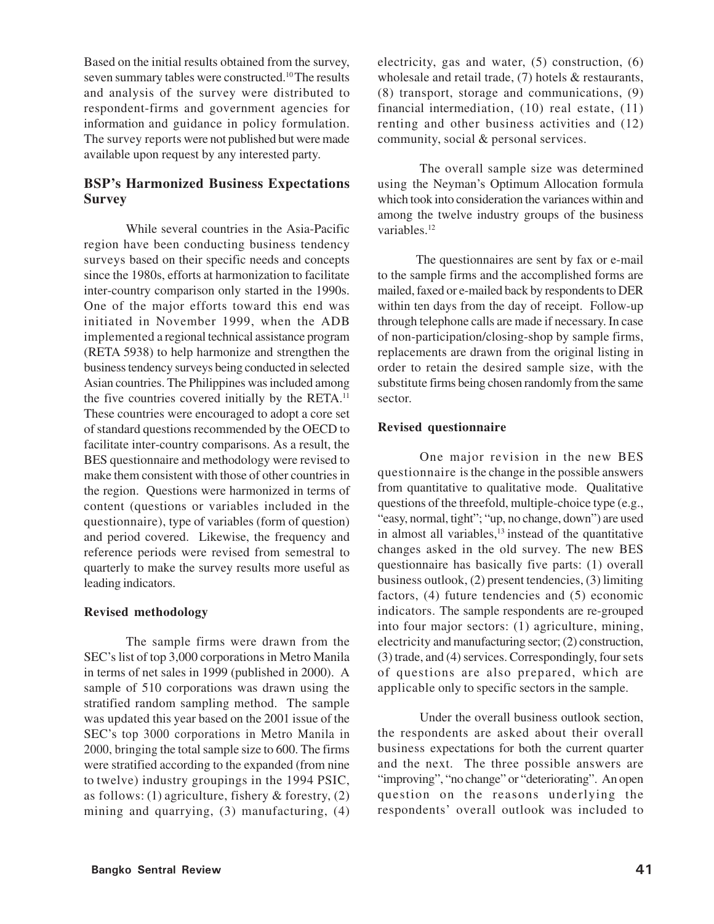Based on the initial results obtained from the survey, seven summary tables were constructed.<sup>10</sup>The results and analysis of the survey were distributed to respondent-firms and government agencies for information and guidance in policy formulation. The survey reports were not published but were made available upon request by any interested party.

# **BSP's Harmonized Business Expectations Survey**

While several countries in the Asia-Pacific region have been conducting business tendency surveys based on their specific needs and concepts since the 1980s, efforts at harmonization to facilitate inter-country comparison only started in the 1990s. One of the major efforts toward this end was initiated in November 1999, when the ADB implemented a regional technical assistance program (RETA 5938) to help harmonize and strengthen the business tendency surveys being conducted in selected Asian countries. The Philippines was included among the five countries covered initially by the RETA.<sup>11</sup> These countries were encouraged to adopt a core set of standard questions recommended by the OECD to facilitate inter-country comparisons. As a result, the BES questionnaire and methodology were revised to make them consistent with those of other countries in the region. Questions were harmonized in terms of content (questions or variables included in the questionnaire), type of variables (form of question) and period covered. Likewise, the frequency and reference periods were revised from semestral to quarterly to make the survey results more useful as leading indicators.

## **Revised methodology**

The sample firms were drawn from the SEC's list of top 3,000 corporations in Metro Manila in terms of net sales in 1999 (published in 2000). A sample of 510 corporations was drawn using the stratified random sampling method. The sample was updated this year based on the 2001 issue of the SEC's top 3000 corporations in Metro Manila in 2000, bringing the total sample size to 600. The firms were stratified according to the expanded (from nine to twelve) industry groupings in the 1994 PSIC, as follows: (1) agriculture, fishery & forestry, (2) mining and quarrying, (3) manufacturing, (4)

electricity, gas and water, (5) construction, (6) wholesale and retail trade, (7) hotels & restaurants, (8) transport, storage and communications, (9) financial intermediation, (10) real estate, (11) renting and other business activities and (12) community, social & personal services.

The overall sample size was determined using the Neyman's Optimum Allocation formula which took into consideration the variances within and among the twelve industry groups of the business variables.<sup>12</sup>

 The questionnaires are sent by fax or e-mail to the sample firms and the accomplished forms are mailed, faxed or e-mailed back by respondents to DER within ten days from the day of receipt. Follow-up through telephone calls are made if necessary. In case of non-participation/closing-shop by sample firms, replacements are drawn from the original listing in order to retain the desired sample size, with the substitute firms being chosen randomly from the same sector.

#### **Revised questionnaire**

One major revision in the new BES questionnaire is the change in the possible answers from quantitative to qualitative mode. Qualitative questions of the threefold, multiple-choice type (e.g., "easy, normal, tight"; "up, no change, down") are used in almost all variables, $13$  instead of the quantitative changes asked in the old survey. The new BES questionnaire has basically five parts: (1) overall business outlook, (2) present tendencies, (3) limiting factors, (4) future tendencies and (5) economic indicators. The sample respondents are re-grouped into four major sectors: (1) agriculture, mining, electricity and manufacturing sector; (2) construction, (3) trade, and (4) services. Correspondingly, four sets of questions are also prepared, which are applicable only to specific sectors in the sample.

Under the overall business outlook section, the respondents are asked about their overall business expectations for both the current quarter and the next. The three possible answers are "improving", "no change" or "deteriorating". An open question on the reasons underlying the respondents' overall outlook was included to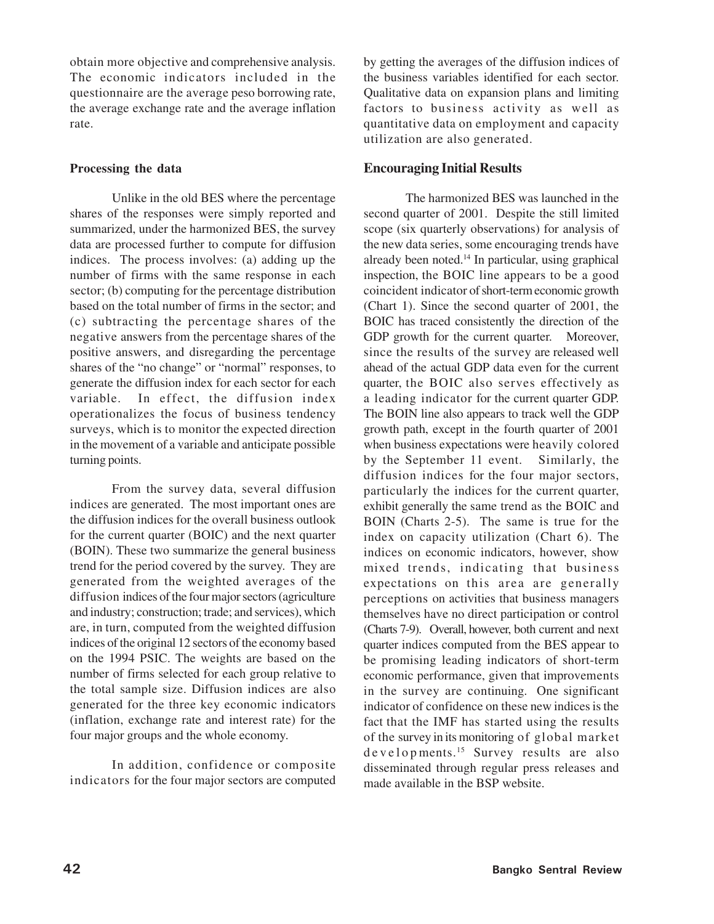obtain more objective and comprehensive analysis. The economic indicators included in the questionnaire are the average peso borrowing rate, the average exchange rate and the average inflation rate.

## **Processing the data**

Unlike in the old BES where the percentage shares of the responses were simply reported and summarized, under the harmonized BES, the survey data are processed further to compute for diffusion indices. The process involves: (a) adding up the number of firms with the same response in each sector; (b) computing for the percentage distribution based on the total number of firms in the sector; and (c) subtracting the percentage shares of the negative answers from the percentage shares of the positive answers, and disregarding the percentage shares of the "no change" or "normal" responses, to generate the diffusion index for each sector for each variable. In effect, the diffusion index operationalizes the focus of business tendency surveys, which is to monitor the expected direction in the movement of a variable and anticipate possible turning points.

From the survey data, several diffusion indices are generated. The most important ones are the diffusion indices for the overall business outlook for the current quarter (BOIC) and the next quarter (BOIN). These two summarize the general business trend for the period covered by the survey. They are generated from the weighted averages of the diffusion indices of the four major sectors (agriculture and industry; construction; trade; and services), which are, in turn, computed from the weighted diffusion indices of the original 12 sectors of the economy based on the 1994 PSIC. The weights are based on the number of firms selected for each group relative to the total sample size. Diffusion indices are also generated for the three key economic indicators (inflation, exchange rate and interest rate) for the four major groups and the whole economy.

In addition, confidence or composite indicators for the four major sectors are computed by getting the averages of the diffusion indices of the business variables identified for each sector. Qualitative data on expansion plans and limiting factors to business activity as well as quantitative data on employment and capacity utilization are also generated.

# **Encouraging Initial Results**

The harmonized BES was launched in the second quarter of 2001. Despite the still limited scope (six quarterly observations) for analysis of the new data series, some encouraging trends have already been noted.<sup>14</sup> In particular, using graphical inspection, the BOIC line appears to be a good coincident indicator of short-term economic growth (Chart 1). Since the second quarter of 2001, the BOIC has traced consistently the direction of the GDP growth for the current quarter. Moreover, since the results of the survey are released well ahead of the actual GDP data even for the current quarter, the BOIC also serves effectively as a leading indicator for the current quarter GDP. The BOIN line also appears to track well the GDP growth path, except in the fourth quarter of 2001 when business expectations were heavily colored by the September 11 event. Similarly, the diffusion indices for the four major sectors, particularly the indices for the current quarter, exhibit generally the same trend as the BOIC and BOIN (Charts 2-5). The same is true for the index on capacity utilization (Chart 6). The indices on economic indicators, however, show mixed trends, indicating that business expectations on this area are generally perceptions on activities that business managers themselves have no direct participation or control (Charts 7-9). Overall, however, both current and next quarter indices computed from the BES appear to be promising leading indicators of short-term economic performance, given that improvements in the survey are continuing. One significant indicator of confidence on these new indices is the fact that the IMF has started using the results of the survey in its monitoring of global market develop ments.<sup>15</sup> Survey results are also disseminated through regular press releases and made available in the BSP website.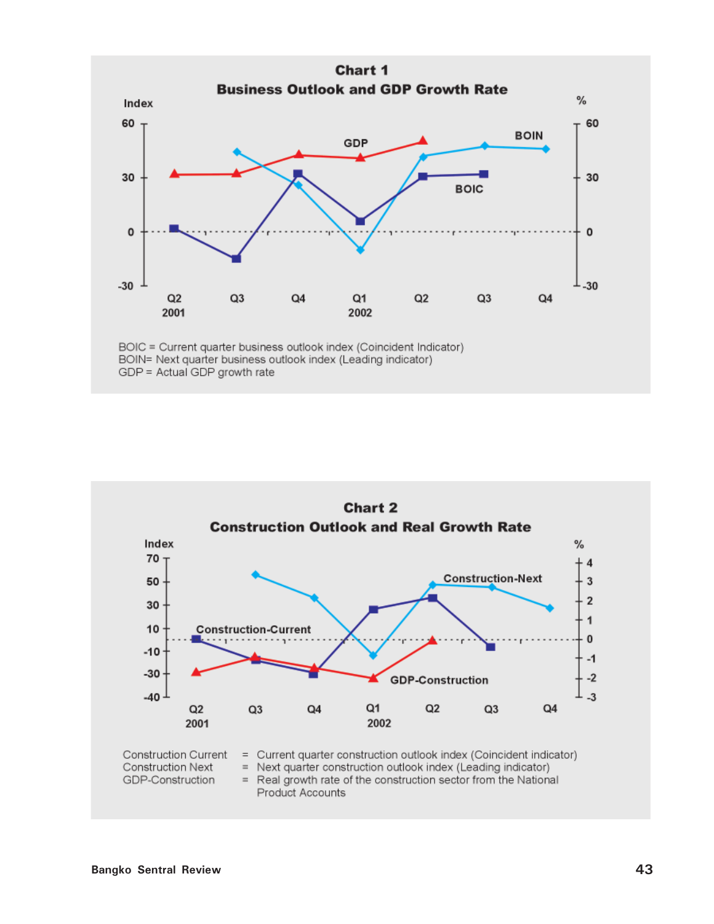

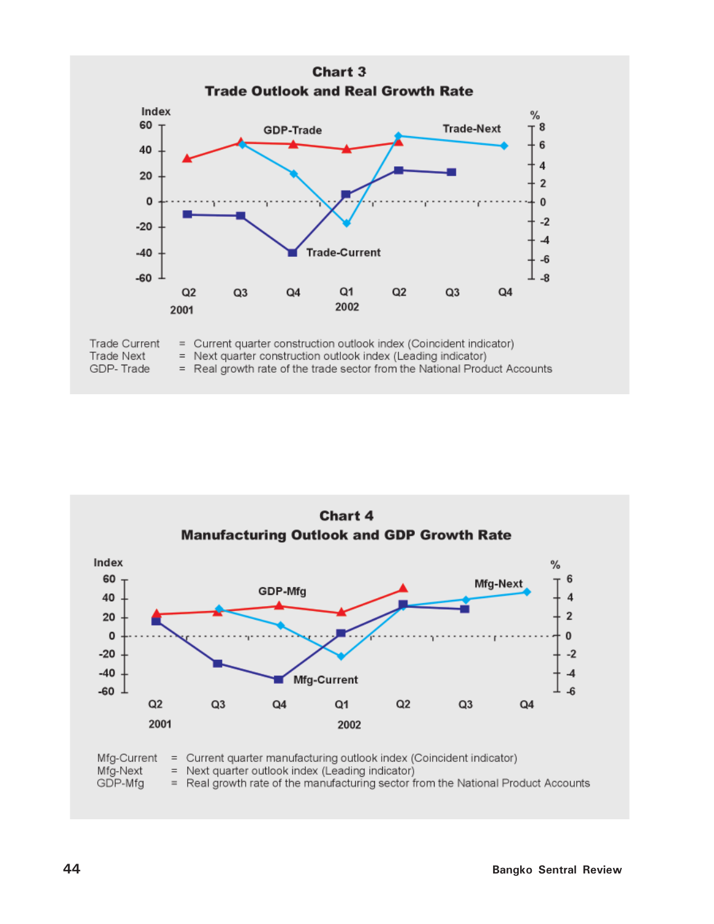

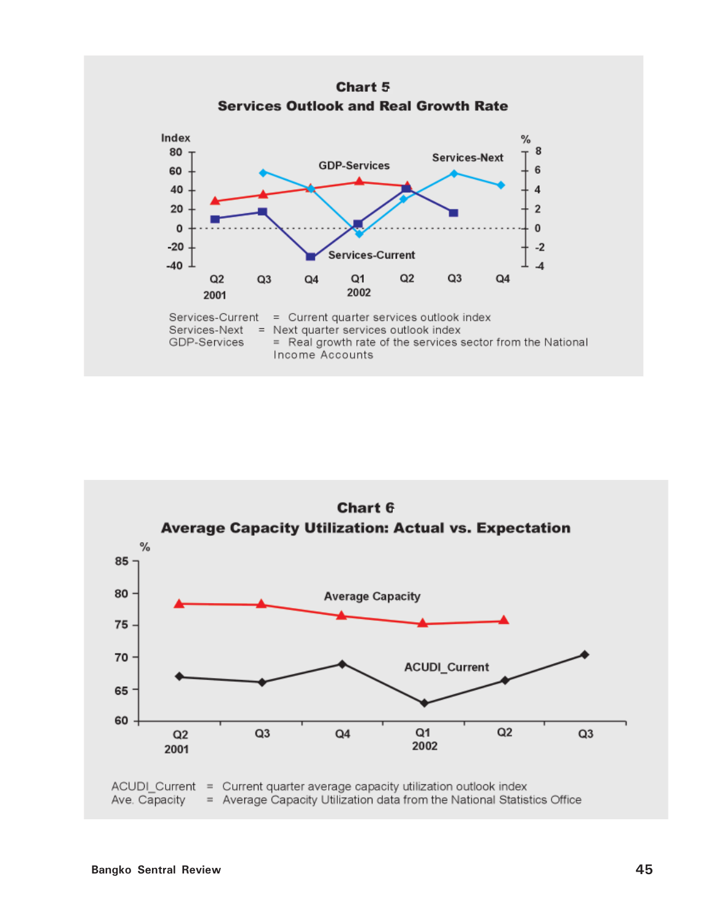

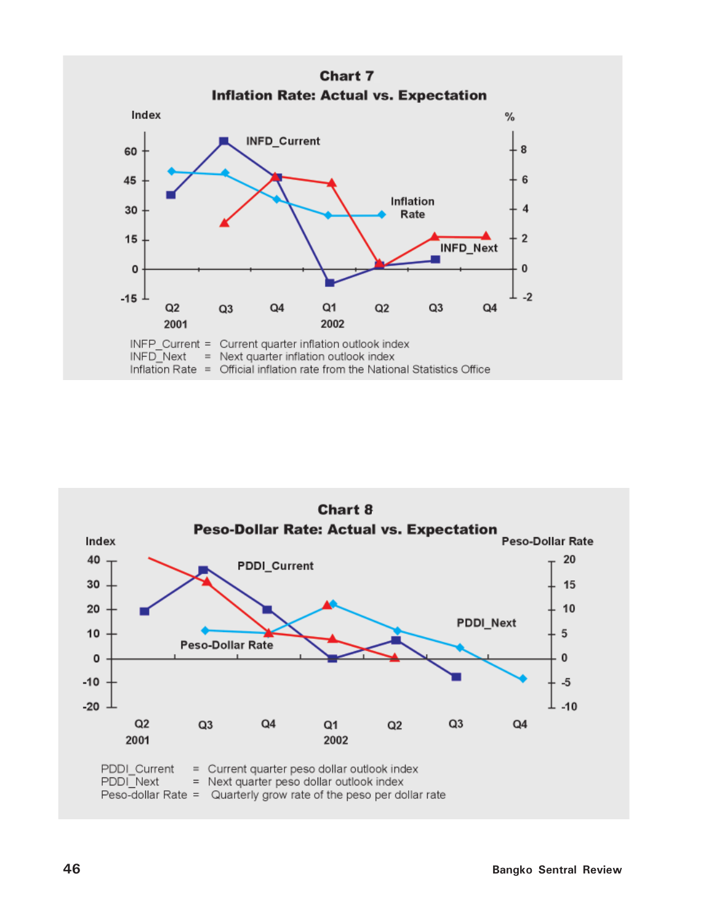

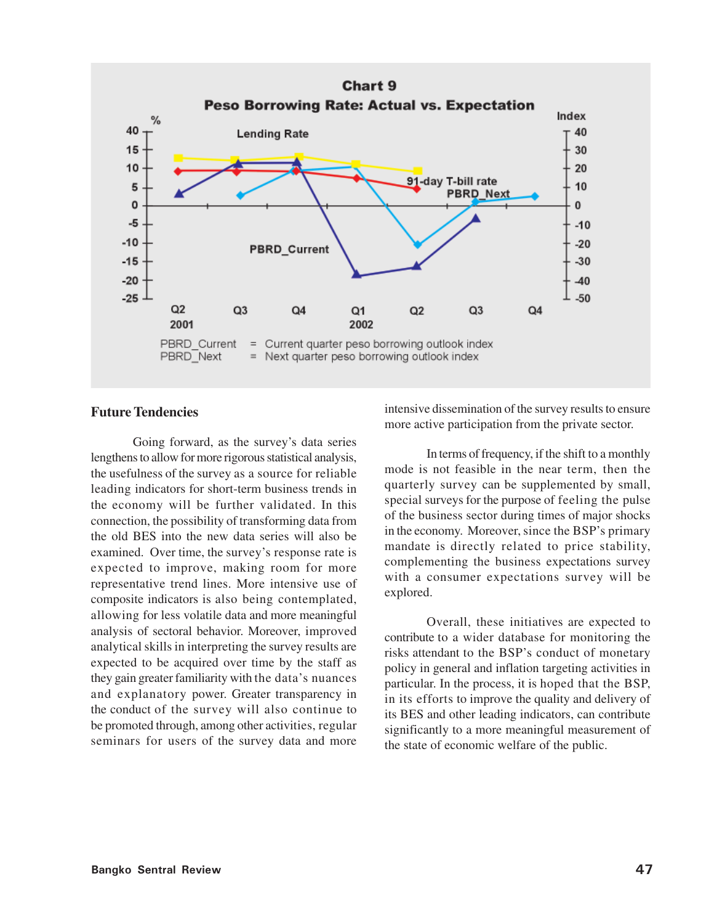

# **Future Tendencies**

Going forward, as the survey's data series lengthens to allow for more rigorous statistical analysis, the usefulness of the survey as a source for reliable leading indicators for short-term business trends in the economy will be further validated. In this connection, the possibility of transforming data from the old BES into the new data series will also be examined. Over time, the survey's response rate is expected to improve, making room for more representative trend lines. More intensive use of composite indicators is also being contemplated, allowing for less volatile data and more meaningful analysis of sectoral behavior. Moreover, improved analytical skills in interpreting the survey results are expected to be acquired over time by the staff as they gain greater familiarity with the data's nuances and explanatory power. Greater transparency in the conduct of the survey will also continue to be promoted through, among other activities, regular seminars for users of the survey data and more

intensive dissemination of the survey results to ensure more active participation from the private sector.

In terms of frequency, if the shift to a monthly mode is not feasible in the near term, then the quarterly survey can be supplemented by small, special surveys for the purpose of feeling the pulse of the business sector during times of major shocks in the economy. Moreover, since the BSP's primary mandate is directly related to price stability, complementing the business expectations survey with a consumer expectations survey will be explored.

Overall, these initiatives are expected to contribute to a wider database for monitoring the risks attendant to the BSP's conduct of monetary policy in general and inflation targeting activities in particular. In the process, it is hoped that the BSP, in its efforts to improve the quality and delivery of its BES and other leading indicators, can contribute significantly to a more meaningful measurement of the state of economic welfare of the public.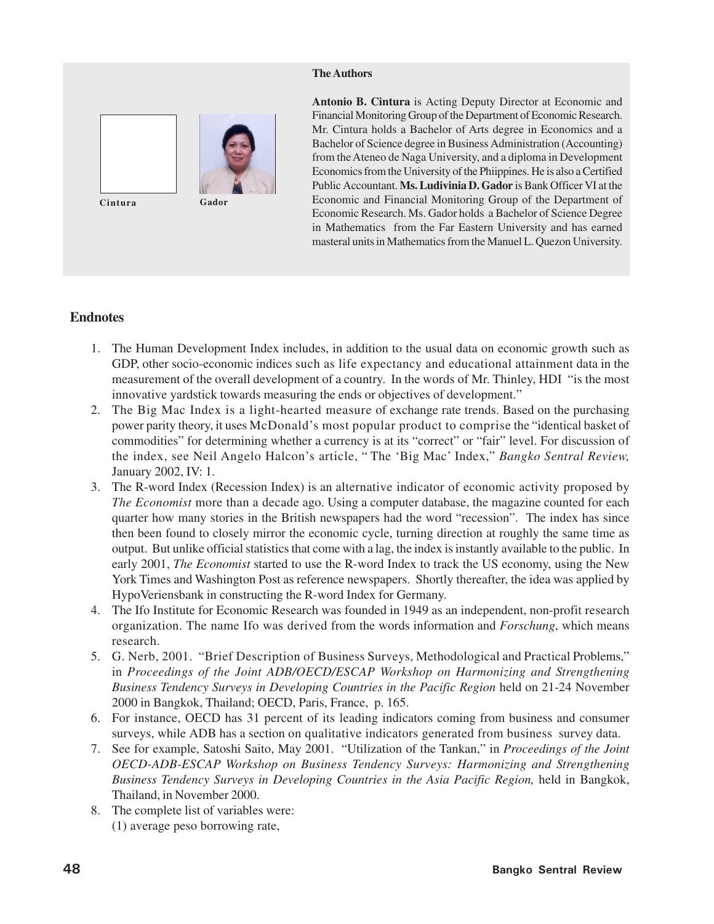#### **The Authors**



**Antonio B. Cintura** is Acting Deputy Director at Economic and Financial Monitoring Group of the Department of Economic Research. Mr. Cintura holds a Bachelor of Arts degree in Economics and a Bachelor of Science degree in Business Administration (Accounting) from the Ateneo de Naga University, and a diploma in Development Economics from the University of the Phiippines. He is also a Certified Public Accountant. **Ms. Ludivinia D. Gador** is Bank Officer VI at the Economic and Financial Monitoring Group of the Department of Economic Research. Ms. Gador holds a Bachelor of Science Degree in Mathematics from the Far Eastern University and has earned masteral units in Mathematics from the Manuel L. Quezon University.

# **Endnotes**

- 1. The Human Development Index includes, in addition to the usual data on economic growth such as GDP, other socio-economic indices such as life expectancy and educational attainment data in the measurement of the overall development of a country. In the words of Mr. Thinley, HDI "is the most innovative yardstick towards measuring the ends or objectives of development."
- 2. The Big Mac Index is a light-hearted measure of exchange rate trends. Based on the purchasing power parity theory, it uses McDonald's most popular product to comprise the "identical basket of commodities" for determining whether a currency is at its "correct" or "fair" level. For discussion of the index, see Neil Angelo Halcon's article, " The 'Big Mac' Index," *Bangko Sentral Review,* January 2002, IV: 1.
- 3. The R-word Index (Recession Index) is an alternative indicator of economic activity proposed by *The Economist* more than a decade ago. Using a computer database, the magazine counted for each quarter how many stories in the British newspapers had the word "recession". The index has since then been found to closely mirror the economic cycle, turning direction at roughly the same time as output. But unlike official statistics that come with a lag, the index is instantly available to the public. In early 2001, *The Economist* started to use the R-word Index to track the US economy, using the New York Times and Washington Post as reference newspapers. Shortly thereafter, the idea was applied by HypoVeriensbank in constructing the R-word Index for Germany.
- 4. The Ifo Institute for Economic Research was founded in 1949 as an independent, non-profit research organization. The name Ifo was derived from the words information and *Forschung*, which means research.
- 5. G. Nerb, 2001. "Brief Description of Business Surveys, Methodological and Practical Problems," in *Proceedings of the Joint ADB/OECD/ESCAP Workshop on Harmonizing and Strengthening Business Tendency Surveys in Developing Countries in the Pacific Region* held on 21-24 November 2000 in Bangkok, Thailand; OECD, Paris, France, p. 165.
- 6. For instance, OECD has 31 percent of its leading indicators coming from business and consumer surveys, while ADB has a section on qualitative indicators generated from business survey data.
- 7. See for example, Satoshi Saito, May 2001. "Utilization of the Tankan," in *Proceedings of the Joint OECD-ADB-ESCAP Workshop on Business Tendency Surveys: Harmonizing and Strengthening Business Tendency Surveys in Developing Countries in the Asia Pacific Region,* held in Bangkok, Thailand, in November 2000.
- 8. The complete list of variables were: (1) average peso borrowing rate,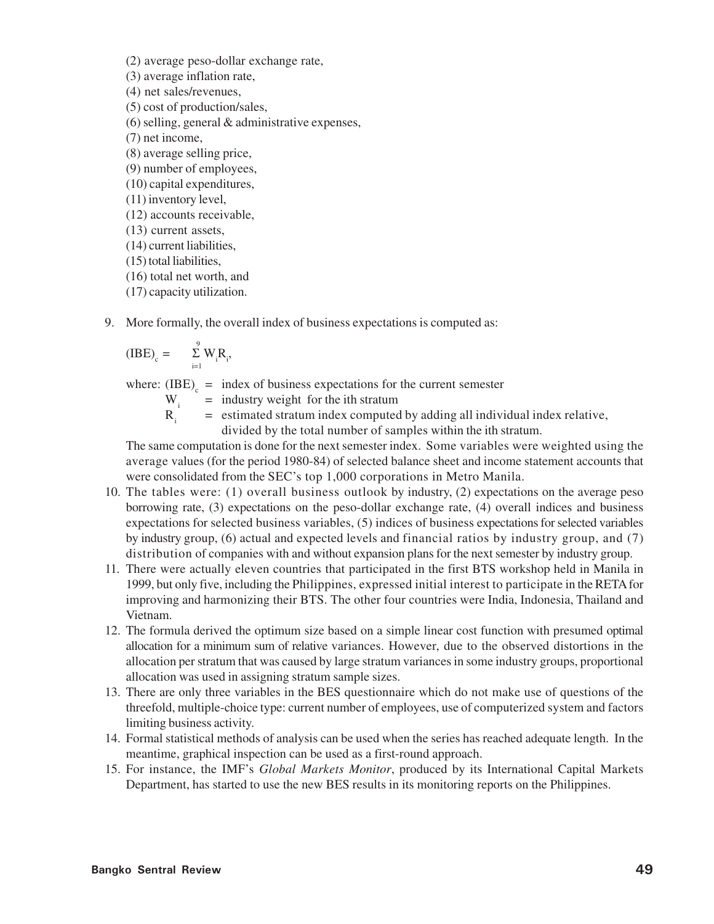(2) average peso-dollar exchange rate,

(3) average inflation rate,

(4) net sales/revenues,

(5) cost of production/sales,

(6) selling, general & administrative expenses,

(7) net income,

(8) average selling price,

(9) number of employees,

(10) capital expenditures,

(11) inventory level,

(12) accounts receivable,

(13) current assets,

(14) current liabilities,

(15) total liabilities,

(16) total net worth, and

(17) capacity utilization.

9. More formally, the overall index of business expectations is computed as:

$$
(IBE)_{c} = \sum_{i=1}^{9} W_{i}R_{i},
$$

where:  $(IBE)$ <sub>c</sub> = index of business expectations for the current semester

- W. = industry weight for the ith stratum
- $R_i$ = estimated stratum index computed by adding all individual index relative, divided by the total number of samples within the ith stratum.

The same computation is done for the next semester index. Some variables were weighted using the average values (for the period 1980-84) of selected balance sheet and income statement accounts that were consolidated from the SEC's top 1,000 corporations in Metro Manila.

- 10. The tables were: (1) overall business outlook by industry, (2) expectations on the average peso borrowing rate, (3) expectations on the peso-dollar exchange rate, (4) overall indices and business expectations for selected business variables, (5) indices of business expectations for selected variables by industry group, (6) actual and expected levels and financial ratios by industry group, and (7) distribution of companies with and without expansion plans for the next semester by industry group.
- 11. There were actually eleven countries that participated in the first BTS workshop held in Manila in 1999, but only five, including the Philippines, expressed initial interest to participate in the RETA for improving and harmonizing their BTS. The other four countries were India, Indonesia, Thailand and Vietnam.
- 12. The formula derived the optimum size based on a simple linear cost function with presumed optimal allocation for a minimum sum of relative variances. However, due to the observed distortions in the allocation per stratum that was caused by large stratum variances in some industry groups, proportional allocation was used in assigning stratum sample sizes.
- 13. There are only three variables in the BES questionnaire which do not make use of questions of the threefold, multiple-choice type: current number of employees, use of computerized system and factors limiting business activity.
- 14. Formal statistical methods of analysis can be used when the series has reached adequate length. In the meantime, graphical inspection can be used as a first-round approach.
- 15. For instance, the IMF's *Global Markets Monitor*, produced by its International Capital Markets Department, has started to use the new BES results in its monitoring reports on the Philippines.